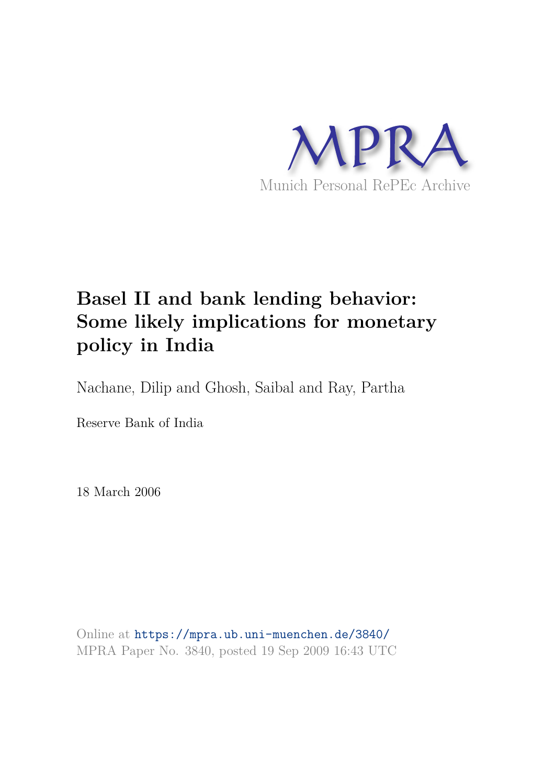

# **Basel II and bank lending behavior: Some likely implications for monetary policy in India**

Nachane, Dilip and Ghosh, Saibal and Ray, Partha

Reserve Bank of India

18 March 2006

Online at https://mpra.ub.uni-muenchen.de/3840/ MPRA Paper No. 3840, posted 19 Sep 2009 16:43 UTC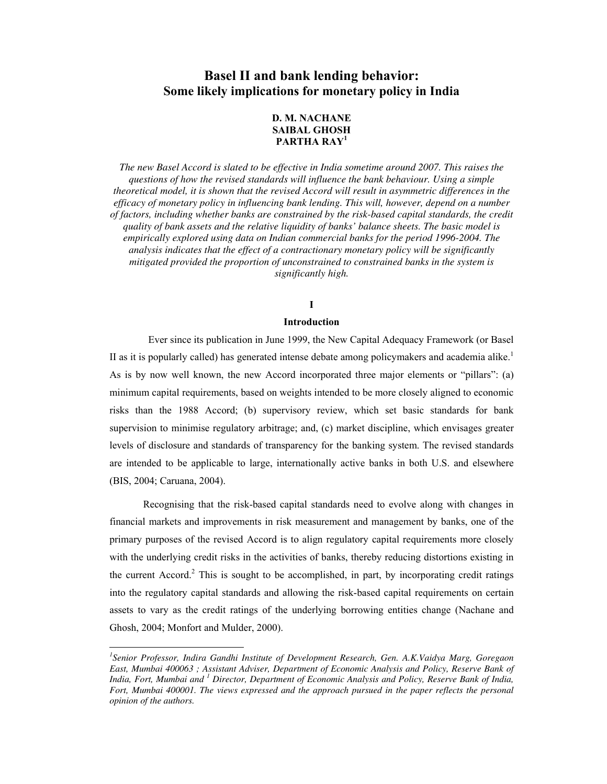## **Basel II and bank lending behavior: Some likely implications for monetary policy in India**

## **D. M. NACHANE SAIBAL GHOSH PARTHA RAY<sup>1</sup>**

*The new Basel Accord is slated to be effective in India sometime around 2007. This raises the questions of how the revised standards will influence the bank behaviour. Using a simple theoretical model, it is shown that the revised Accord will result in asymmetric differences in the efficacy of monetary policy in influencing bank lending. This will, however, depend on a number of factors, including whether banks are constrained by the risk-based capital standards, the credit quality of bank assets and the relative liquidity of banks' balance sheets. The basic model is empirically explored using data on Indian commercial banks for the period 1996-2004. The analysis indicates that the effect of a contractionary monetary policy will be significantly mitigated provided the proportion of unconstrained to constrained banks in the system is significantly high.* 

## **I**

## **Introduction**

 Ever since its publication in June 1999, the New Capital Adequacy Framework (or Basel II as it is popularly called) has generated intense debate among policymakers and academia alike.<sup>1</sup> As is by now well known, the new Accord incorporated three major elements or "pillars": (a) minimum capital requirements, based on weights intended to be more closely aligned to economic risks than the 1988 Accord; (b) supervisory review, which set basic standards for bank supervision to minimise regulatory arbitrage; and, (c) market discipline, which envisages greater levels of disclosure and standards of transparency for the banking system. The revised standards are intended to be applicable to large, internationally active banks in both U.S. and elsewhere (BIS, 2004; Caruana, 2004).

 Recognising that the risk-based capital standards need to evolve along with changes in financial markets and improvements in risk measurement and management by banks, one of the primary purposes of the revised Accord is to align regulatory capital requirements more closely with the underlying credit risks in the activities of banks, thereby reducing distortions existing in the current Accord.<sup>2</sup> This is sought to be accomplished, in part, by incorporating credit ratings into the regulatory capital standards and allowing the risk-based capital requirements on certain assets to vary as the credit ratings of the underlying borrowing entities change (Nachane and Ghosh, 2004; Monfort and Mulder, 2000).

 $\ddot{ }$ 

*<sup>1</sup> Senior Professor, Indira Gandhi Institute of Development Research, Gen. A.K.Vaidya Marg, Goregaon East, Mumbai 400063 ; Assistant Adviser, Department of Economic Analysis and Policy, Reserve Bank of India, Fort, Mumbai and <sup>1</sup> Director, Department of Economic Analysis and Policy, Reserve Bank of India, Fort, Mumbai 400001. The views expressed and the approach pursued in the paper reflects the personal opinion of the authors.*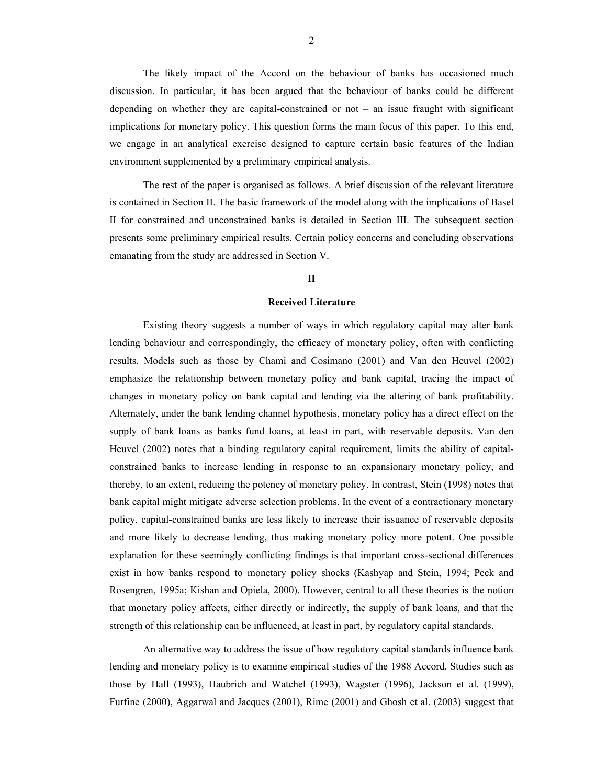The likely impact of the Accord on the behaviour of banks has occasioned much discussion. In particular, it has been argued that the behaviour of banks could be different depending on whether they are capital-constrained or not – an issue fraught with significant implications for monetary policy. This question forms the main focus of this paper. To this end, we engage in an analytical exercise designed to capture certain basic features of the Indian environment supplemented by a preliminary empirical analysis.

The rest of the paper is organised as follows. A brief discussion of the relevant literature is contained in Section II. The basic framework of the model along with the implications of Basel II for constrained and unconstrained banks is detailed in Section III. The subsequent section presents some preliminary empirical results. Certain policy concerns and concluding observations emanating from the study are addressed in Section V.

## **II**

#### **Received Literature**

 Existing theory suggests a number of ways in which regulatory capital may alter bank lending behaviour and correspondingly, the efficacy of monetary policy, often with conflicting results. Models such as those by Chami and Cosimano (2001) and Van den Heuvel (2002) emphasize the relationship between monetary policy and bank capital, tracing the impact of changes in monetary policy on bank capital and lending via the altering of bank profitability. Alternately, under the bank lending channel hypothesis, monetary policy has a direct effect on the supply of bank loans as banks fund loans, at least in part, with reservable deposits. Van den Heuvel (2002) notes that a binding regulatory capital requirement, limits the ability of capitalconstrained banks to increase lending in response to an expansionary monetary policy, and thereby, to an extent, reducing the potency of monetary policy. In contrast, Stein (1998) notes that bank capital might mitigate adverse selection problems. In the event of a contractionary monetary policy, capital-constrained banks are less likely to increase their issuance of reservable deposits and more likely to decrease lending, thus making monetary policy more potent. One possible explanation for these seemingly conflicting findings is that important cross-sectional differences exist in how banks respond to monetary policy shocks (Kashyap and Stein, 1994; Peek and Rosengren, 1995a; Kishan and Opiela, 2000). However, central to all these theories is the notion that monetary policy affects, either directly or indirectly, the supply of bank loans, and that the strength of this relationship can be influenced, at least in part, by regulatory capital standards.

 An alternative way to address the issue of how regulatory capital standards influence bank lending and monetary policy is to examine empirical studies of the 1988 Accord. Studies such as those by Hall (1993), Haubrich and Watchel (1993), Wagster (1996), Jackson et al. (1999), Furfine (2000), Aggarwal and Jacques (2001), Rime (2001) and Ghosh et al. (2003) suggest that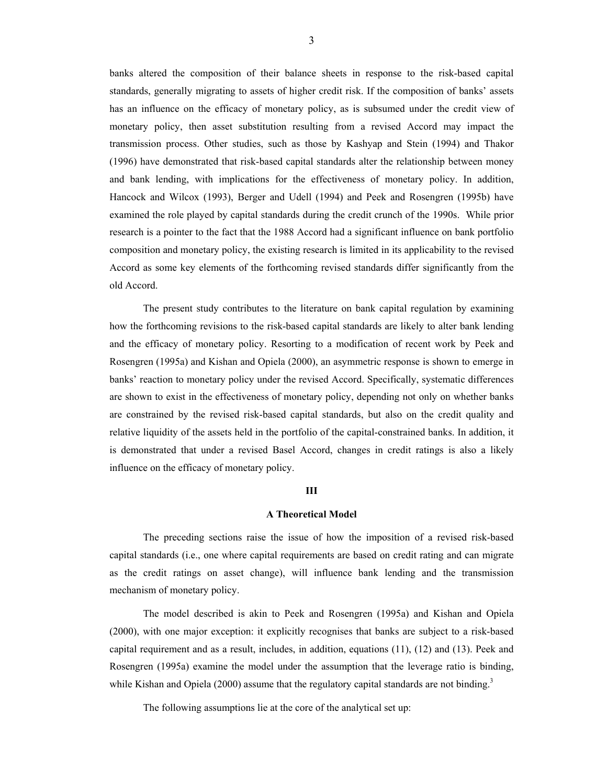banks altered the composition of their balance sheets in response to the risk-based capital standards, generally migrating to assets of higher credit risk. If the composition of banks' assets has an influence on the efficacy of monetary policy, as is subsumed under the credit view of monetary policy, then asset substitution resulting from a revised Accord may impact the transmission process. Other studies, such as those by Kashyap and Stein (1994) and Thakor (1996) have demonstrated that risk-based capital standards alter the relationship between money and bank lending, with implications for the effectiveness of monetary policy. In addition, Hancock and Wilcox (1993), Berger and Udell (1994) and Peek and Rosengren (1995b) have examined the role played by capital standards during the credit crunch of the 1990s. While prior research is a pointer to the fact that the 1988 Accord had a significant influence on bank portfolio composition and monetary policy, the existing research is limited in its applicability to the revised Accord as some key elements of the forthcoming revised standards differ significantly from the old Accord.

 The present study contributes to the literature on bank capital regulation by examining how the forthcoming revisions to the risk-based capital standards are likely to alter bank lending and the efficacy of monetary policy. Resorting to a modification of recent work by Peek and Rosengren (1995a) and Kishan and Opiela (2000), an asymmetric response is shown to emerge in banks' reaction to monetary policy under the revised Accord. Specifically, systematic differences are shown to exist in the effectiveness of monetary policy, depending not only on whether banks are constrained by the revised risk-based capital standards, but also on the credit quality and relative liquidity of the assets held in the portfolio of the capital-constrained banks. In addition, it is demonstrated that under a revised Basel Accord, changes in credit ratings is also a likely influence on the efficacy of monetary policy.

#### **III**

#### **A Theoretical Model**

 The preceding sections raise the issue of how the imposition of a revised risk-based capital standards (i.e., one where capital requirements are based on credit rating and can migrate as the credit ratings on asset change), will influence bank lending and the transmission mechanism of monetary policy.

 The model described is akin to Peek and Rosengren (1995a) and Kishan and Opiela (2000), with one major exception: it explicitly recognises that banks are subject to a risk-based capital requirement and as a result, includes, in addition, equations (11), (12) and (13). Peek and Rosengren (1995a) examine the model under the assumption that the leverage ratio is binding, while Kishan and Opiela (2000) assume that the regulatory capital standards are not binding.<sup>3</sup>

The following assumptions lie at the core of the analytical set up: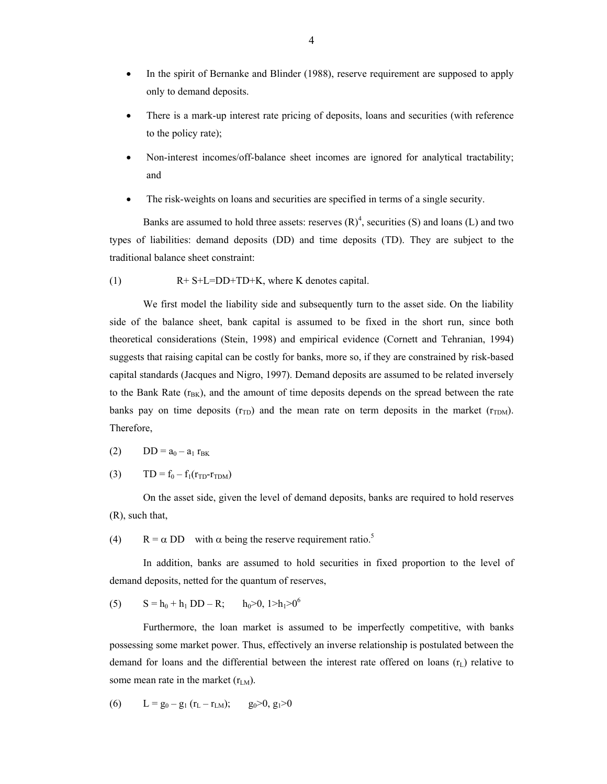- In the spirit of Bernanke and Blinder (1988), reserve requirement are supposed to apply only to demand deposits.
- There is a mark-up interest rate pricing of deposits, loans and securities (with reference to the policy rate);
- Non-interest incomes/off-balance sheet incomes are ignored for analytical tractability; and
- The risk-weights on loans and securities are specified in terms of a single security.

Banks are assumed to hold three assets: reserves  $(R)<sup>4</sup>$ , securities (S) and loans (L) and two types of liabilities: demand deposits (DD) and time deposits (TD). They are subject to the traditional balance sheet constraint:

(1) R+ S+L=DD+TD+K, where K denotes capital.

 We first model the liability side and subsequently turn to the asset side. On the liability side of the balance sheet, bank capital is assumed to be fixed in the short run, since both theoretical considerations (Stein, 1998) and empirical evidence (Cornett and Tehranian, 1994) suggests that raising capital can be costly for banks, more so, if they are constrained by risk-based capital standards (Jacques and Nigro, 1997). Demand deposits are assumed to be related inversely to the Bank Rate  $(r_{BK})$ , and the amount of time deposits depends on the spread between the rate banks pay on time deposits  $(r_{TD})$  and the mean rate on term deposits in the market  $(r_{TDM})$ . Therefore,

$$
(2) \qquad DD = a_0 - a_1 r_{BK}
$$

(3)  $TD = f_0 - f_1(r_{TD} - r_{TDM})$ 

 On the asset side, given the level of demand deposits, banks are required to hold reserves (R), such that,

(4)  $R = \alpha DD$  with  $\alpha$  being the reserve requirement ratio.<sup>5</sup>

 In addition, banks are assumed to hold securities in fixed proportion to the level of demand deposits, netted for the quantum of reserves,

(5) 
$$
S = h_0 + h_1 DD - R; \qquad h_0 > 0, 1 > h_1 > 0^6
$$

 Furthermore, the loan market is assumed to be imperfectly competitive, with banks possessing some market power. Thus, effectively an inverse relationship is postulated between the demand for loans and the differential between the interest rate offered on loans  $(r<sub>L</sub>)$  relative to some mean rate in the market  $(r_{LM})$ .

(6) 
$$
L = g_0 - g_1 (r_L - r_{LM}); \t g_0 > 0, g_1 > 0
$$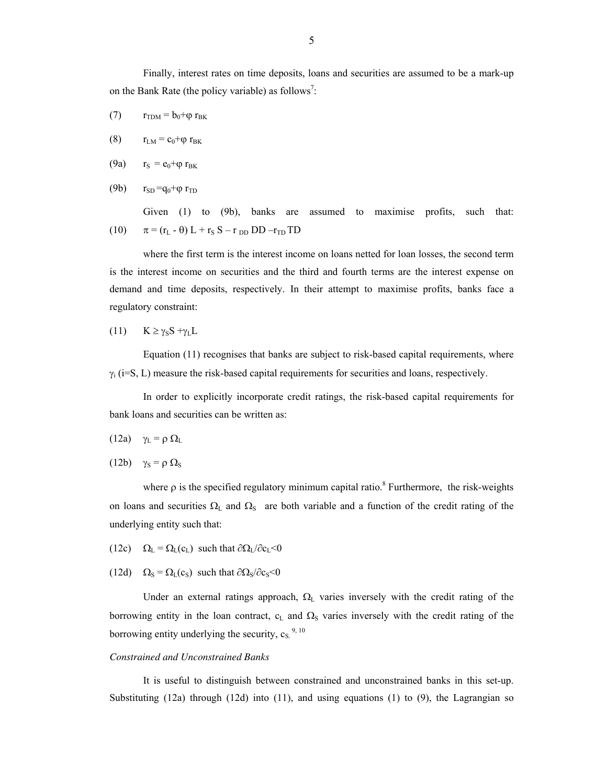Finally, interest rates on time deposits, loans and securities are assumed to be a mark-up on the Bank Rate (the policy variable) as follows<sup>7</sup>:

- (7)  $r_{\text{TDM}} = b_0 + \varphi r_{\text{BK}}$
- (8)  $r_{LM} = c_0 + \varphi r_{BK}$
- (9a)  $r_S = e_0 + \varphi r_{BK}$
- (9b)  $r_{SD} = q_0 + \varphi r_{TD}$

Given (1) to (9b), banks are assumed to maximise profits, such that: (10)  $\pi = (r_L - \theta) L + r_S S - r_{DD} DD - r_{TD} TD$ 

 where the first term is the interest income on loans netted for loan losses, the second term is the interest income on securities and the third and fourth terms are the interest expense on demand and time deposits, respectively. In their attempt to maximise profits, banks face a regulatory constraint:

(11) 
$$
K \ge \gamma_S S + \gamma_L L
$$

 Equation (11) recognises that banks are subject to risk-based capital requirements, where  $\gamma_i$  (i=S, L) measure the risk-based capital requirements for securities and loans, respectively.

 In order to explicitly incorporate credit ratings, the risk-based capital requirements for bank loans and securities can be written as:

- (12a)  $\gamma_L = \rho \Omega_L$
- (12b)  $\gamma_S = \rho \Omega_S$

where  $\rho$  is the specified regulatory minimum capital ratio.<sup>8</sup> Furthermore, the risk-weights on loans and securities  $\Omega_L$  and  $\Omega_S$  are both variable and a function of the credit rating of the underlying entity such that:

- (12c)  $\Omega_L = \Omega_L(c_L)$  such that  $\partial \Omega_L / \partial c_L < 0$
- (12d)  $\Omega_s = \Omega_L(c_s)$  such that  $\partial \Omega_s / \partial c_s < 0$

Under an external ratings approach,  $\Omega_L$  varies inversely with the credit rating of the borrowing entity in the loan contract,  $c<sub>L</sub>$  and  $\Omega<sub>S</sub>$  varies inversely with the credit rating of the borrowing entity underlying the security,  $c_S^{9,10}$ 

#### *Constrained and Unconstrained Banks*

 It is useful to distinguish between constrained and unconstrained banks in this set-up. Substituting (12a) through (12d) into (11), and using equations (1) to (9), the Lagrangian so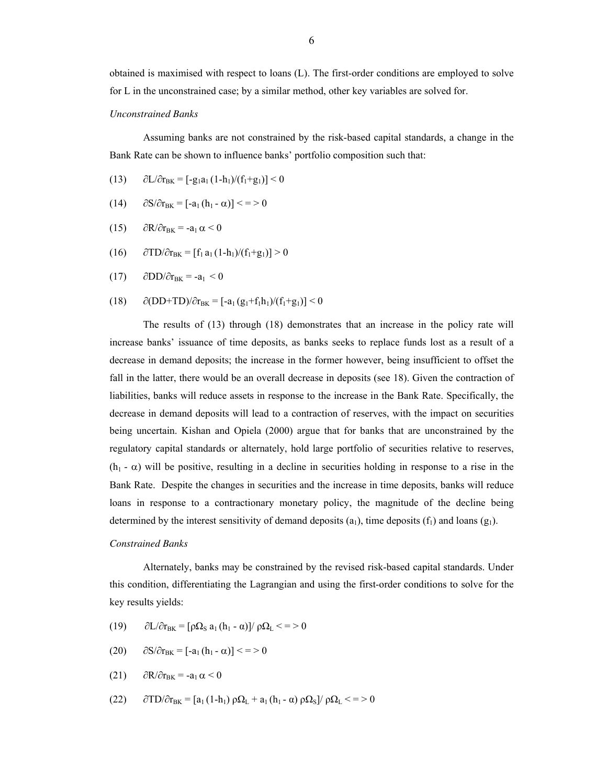## *Unconstrained Banks*

 Assuming banks are not constrained by the risk-based capital standards, a change in the Bank Rate can be shown to influence banks' portfolio composition such that:

- (13)  $\partial L/\partial r_{BK} = [-g_1a_1(1-h_1)/(f_1+g_1)] < 0$
- (14)  $\partial S/\partial r_{BK} = [-a_1(h_1 \alpha)] \leq 0$
- (15)  $\partial R/\partial r_{BK} = -a_1 \alpha < 0$
- (16)  $\partial TD/\partial r_{BK} = [f_1 a_1 (1-h_1)/(f_1+g_1)] > 0$
- (17)  $\partial$ DD/ $\partial$ r<sub>BK</sub> = -a<sub>1</sub> < 0
- (18)  $\partial (DD+TD)/\partial r_{BK} = [-a_1 (g_1+f_1h_1)/(f_1+g_1)] < 0$

 The results of (13) through (18) demonstrates that an increase in the policy rate will increase banks' issuance of time deposits, as banks seeks to replace funds lost as a result of a decrease in demand deposits; the increase in the former however, being insufficient to offset the fall in the latter, there would be an overall decrease in deposits (see 18). Given the contraction of liabilities, banks will reduce assets in response to the increase in the Bank Rate. Specifically, the decrease in demand deposits will lead to a contraction of reserves, with the impact on securities being uncertain. Kishan and Opiela (2000) argue that for banks that are unconstrained by the regulatory capital standards or alternately, hold large portfolio of securities relative to reserves,  $(h_1 - \alpha)$  will be positive, resulting in a decline in securities holding in response to a rise in the Bank Rate. Despite the changes in securities and the increase in time deposits, banks will reduce loans in response to a contractionary monetary policy, the magnitude of the decline being determined by the interest sensitivity of demand deposits  $(a_1)$ , time deposits  $(f_1)$  and loans  $(g_1)$ .

#### *Constrained Banks*

 Alternately, banks may be constrained by the revised risk-based capital standards. Under this condition, differentiating the Lagrangian and using the first-order conditions to solve for the key results yields:

(19)  $\partial L/\partial r_{\text{BK}} = [\rho \Omega_{\text{S}} a_1 (h_1 - \alpha)] / \rho \Omega_L \leq 0$ 

$$
(20) \qquad \partial S/\partial r_{BK} = [-a_1(h_1 - \alpha)] \leq = 0
$$

$$
(21) \qquad \partial R/\partial r_{BK} = -a_1 \alpha < 0
$$

$$
(22)\qquad \partial TD/\partial r_{BK}=[a_1(1-h_1)\,\rho\Omega_L+a_1(h_1\cdot\alpha)\,\rho\Omega_S]/\,\rho\Omega_L <=\!>0
$$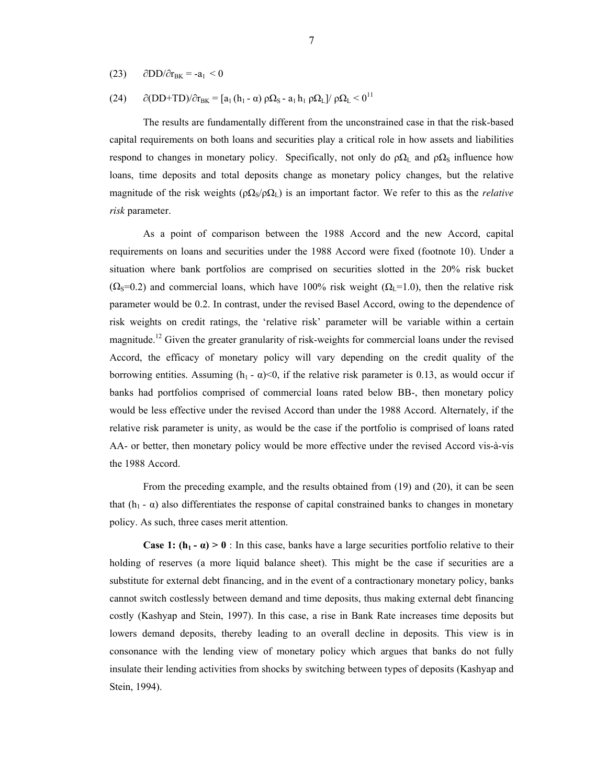(23)  $\partial$ DD/ $\partial$ r<sub>BK</sub> = -a<sub>1</sub> < 0

(24) 
$$
\partial (DD+TD)/\partial r_{BK} = [a_1(h_1 - \alpha) \rho \Omega_S - a_1 h_1 \rho \Omega_L]/\rho \Omega_L < 0^{11}
$$

 The results are fundamentally different from the unconstrained case in that the risk-based capital requirements on both loans and securities play a critical role in how assets and liabilities respond to changes in monetary policy. Specifically, not only do  $\rho\Omega_L$  and  $\rho\Omega_S$  influence how loans, time deposits and total deposits change as monetary policy changes, but the relative magnitude of the risk weights ( $\rho \Omega_s / \rho \Omega_L$ ) is an important factor. We refer to this as the *relative risk* parameter.

 As a point of comparison between the 1988 Accord and the new Accord, capital requirements on loans and securities under the 1988 Accord were fixed (footnote 10). Under a situation where bank portfolios are comprised on securities slotted in the 20% risk bucket  $(\Omega_{\rm s}=0.2)$  and commercial loans, which have 100% risk weight ( $\Omega_{\rm l}=1.0$ ), then the relative risk parameter would be 0.2. In contrast, under the revised Basel Accord, owing to the dependence of risk weights on credit ratings, the 'relative risk' parameter will be variable within a certain magnitude.<sup>12</sup> Given the greater granularity of risk-weights for commercial loans under the revised Accord, the efficacy of monetary policy will vary depending on the credit quality of the borrowing entities. Assuming  $(h_1 - \alpha) < 0$ , if the relative risk parameter is 0.13, as would occur if banks had portfolios comprised of commercial loans rated below BB-, then monetary policy would be less effective under the revised Accord than under the 1988 Accord. Alternately, if the relative risk parameter is unity, as would be the case if the portfolio is comprised of loans rated AA- or better, then monetary policy would be more effective under the revised Accord vis-à-vis the 1988 Accord.

 From the preceding example, and the results obtained from (19) and (20), it can be seen that (h<sub>1</sub> - α) also differentiates the response of capital constrained banks to changes in monetary policy. As such, three cases merit attention.

**Case 1:**  $(h_1 - \alpha) > 0$ **: In this case, banks have a large securities portfolio relative to their** holding of reserves (a more liquid balance sheet). This might be the case if securities are a substitute for external debt financing, and in the event of a contractionary monetary policy, banks cannot switch costlessly between demand and time deposits, thus making external debt financing costly (Kashyap and Stein, 1997). In this case, a rise in Bank Rate increases time deposits but lowers demand deposits, thereby leading to an overall decline in deposits. This view is in consonance with the lending view of monetary policy which argues that banks do not fully insulate their lending activities from shocks by switching between types of deposits (Kashyap and Stein, 1994).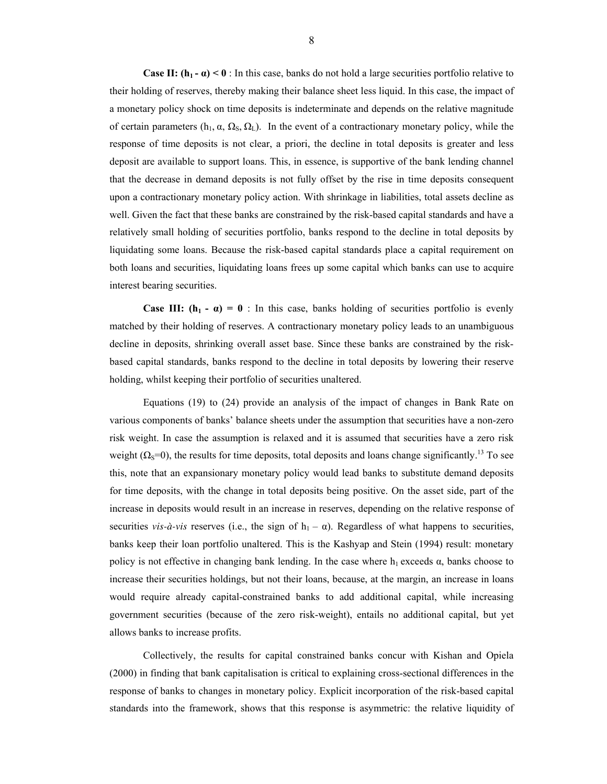**Case II:**  $(h_1 - \alpha) < 0$ : In this case, banks do not hold a large securities portfolio relative to their holding of reserves, thereby making their balance sheet less liquid. In this case, the impact of a monetary policy shock on time deposits is indeterminate and depends on the relative magnitude of certain parameters (h<sub>1</sub>,  $\alpha$ ,  $\Omega$ <sub>5</sub>,  $\Omega$ <sub>L</sub>). In the event of a contractionary monetary policy, while the response of time deposits is not clear, a priori, the decline in total deposits is greater and less deposit are available to support loans. This, in essence, is supportive of the bank lending channel that the decrease in demand deposits is not fully offset by the rise in time deposits consequent upon a contractionary monetary policy action. With shrinkage in liabilities, total assets decline as well. Given the fact that these banks are constrained by the risk-based capital standards and have a relatively small holding of securities portfolio, banks respond to the decline in total deposits by liquidating some loans. Because the risk-based capital standards place a capital requirement on both loans and securities, liquidating loans frees up some capital which banks can use to acquire interest bearing securities.

**Case III:**  $(h_1 - \alpha) = 0$ : In this case, banks holding of securities portfolio is evenly matched by their holding of reserves. A contractionary monetary policy leads to an unambiguous decline in deposits, shrinking overall asset base. Since these banks are constrained by the riskbased capital standards, banks respond to the decline in total deposits by lowering their reserve holding, whilst keeping their portfolio of securities unaltered.

 Equations (19) to (24) provide an analysis of the impact of changes in Bank Rate on various components of banks' balance sheets under the assumption that securities have a non-zero risk weight. In case the assumption is relaxed and it is assumed that securities have a zero risk weight ( $\Omega$ <sub>S</sub>=0), the results for time deposits, total deposits and loans change significantly.<sup>13</sup> To see this, note that an expansionary monetary policy would lead banks to substitute demand deposits for time deposits, with the change in total deposits being positive. On the asset side, part of the increase in deposits would result in an increase in reserves, depending on the relative response of securities *vis-à-vis* reserves (i.e., the sign of  $h_1 - \alpha$ ). Regardless of what happens to securities, banks keep their loan portfolio unaltered. This is the Kashyap and Stein (1994) result: monetary policy is not effective in changing bank lending. In the case where  $h_1$  exceeds  $\alpha$ , banks choose to increase their securities holdings, but not their loans, because, at the margin, an increase in loans would require already capital-constrained banks to add additional capital, while increasing government securities (because of the zero risk-weight), entails no additional capital, but yet allows banks to increase profits.

 Collectively, the results for capital constrained banks concur with Kishan and Opiela (2000) in finding that bank capitalisation is critical to explaining cross-sectional differences in the response of banks to changes in monetary policy. Explicit incorporation of the risk-based capital standards into the framework, shows that this response is asymmetric: the relative liquidity of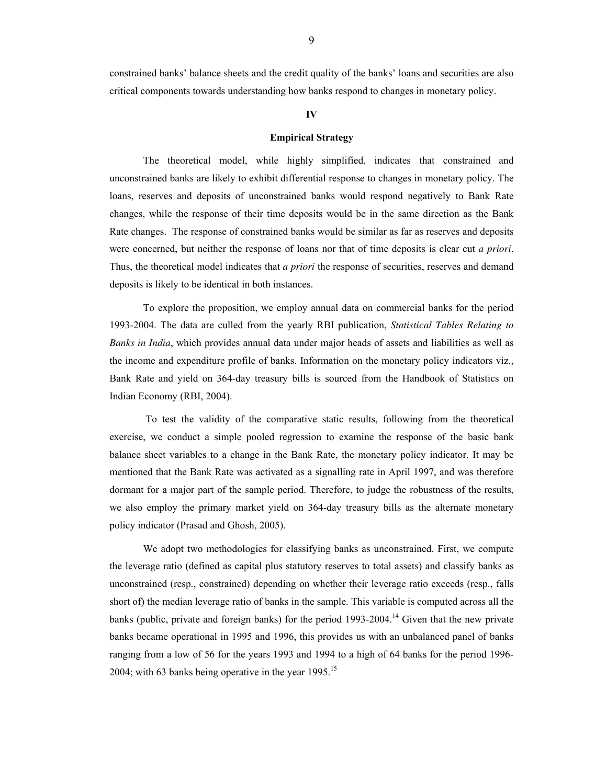constrained banks' balance sheets and the credit quality of the banks' loans and securities are also critical components towards understanding how banks respond to changes in monetary policy.

## **IV**

#### **Empirical Strategy**

The theoretical model, while highly simplified, indicates that constrained and unconstrained banks are likely to exhibit differential response to changes in monetary policy. The loans, reserves and deposits of unconstrained banks would respond negatively to Bank Rate changes, while the response of their time deposits would be in the same direction as the Bank Rate changes. The response of constrained banks would be similar as far as reserves and deposits were concerned, but neither the response of loans nor that of time deposits is clear cut *a priori*. Thus, the theoretical model indicates that *a priori* the response of securities, reserves and demand deposits is likely to be identical in both instances.

To explore the proposition, we employ annual data on commercial banks for the period 1993-2004. The data are culled from the yearly RBI publication, *Statistical Tables Relating to Banks in India*, which provides annual data under major heads of assets and liabilities as well as the income and expenditure profile of banks. Information on the monetary policy indicators viz., Bank Rate and yield on 364-day treasury bills is sourced from the Handbook of Statistics on Indian Economy (RBI, 2004).

 To test the validity of the comparative static results, following from the theoretical exercise, we conduct a simple pooled regression to examine the response of the basic bank balance sheet variables to a change in the Bank Rate, the monetary policy indicator. It may be mentioned that the Bank Rate was activated as a signalling rate in April 1997, and was therefore dormant for a major part of the sample period. Therefore, to judge the robustness of the results, we also employ the primary market yield on 364-day treasury bills as the alternate monetary policy indicator (Prasad and Ghosh, 2005).

We adopt two methodologies for classifying banks as unconstrained. First, we compute the leverage ratio (defined as capital plus statutory reserves to total assets) and classify banks as unconstrained (resp., constrained) depending on whether their leverage ratio exceeds (resp., falls short of) the median leverage ratio of banks in the sample. This variable is computed across all the banks (public, private and foreign banks) for the period 1993-2004.<sup>14</sup> Given that the new private banks became operational in 1995 and 1996, this provides us with an unbalanced panel of banks ranging from a low of 56 for the years 1993 and 1994 to a high of 64 banks for the period 1996- 2004; with 63 banks being operative in the year  $1995$ .<sup>15</sup>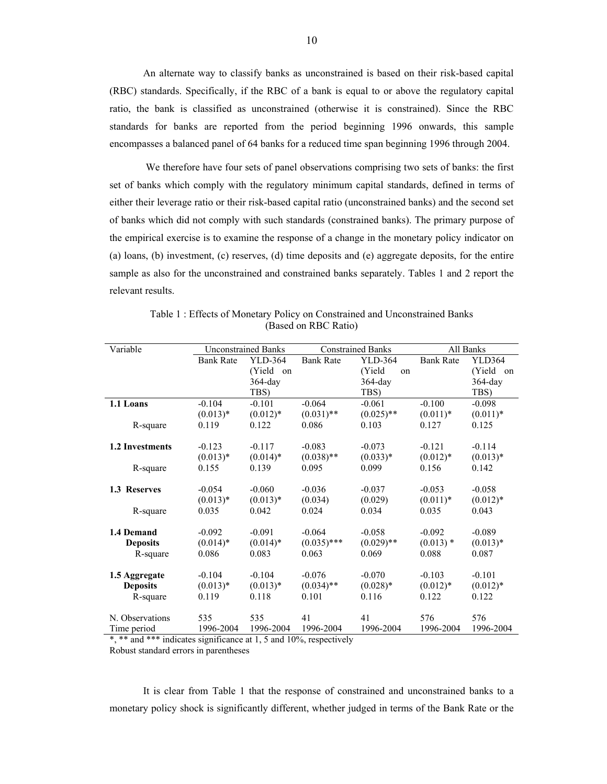An alternate way to classify banks as unconstrained is based on their risk-based capital (RBC) standards. Specifically, if the RBC of a bank is equal to or above the regulatory capital ratio, the bank is classified as unconstrained (otherwise it is constrained). Since the RBC standards for banks are reported from the period beginning 1996 onwards, this sample encompasses a balanced panel of 64 banks for a reduced time span beginning 1996 through 2004.

 We therefore have four sets of panel observations comprising two sets of banks: the first set of banks which comply with the regulatory minimum capital standards, defined in terms of either their leverage ratio or their risk-based capital ratio (unconstrained banks) and the second set of banks which did not comply with such standards (constrained banks). The primary purpose of the empirical exercise is to examine the response of a change in the monetary policy indicator on (a) loans, (b) investment, (c) reserves, (d) time deposits and (e) aggregate deposits, for the entire sample as also for the unconstrained and constrained banks separately. Tables 1 and 2 report the relevant results.

| Variable               | <b>Unconstrained Banks</b> |             | <b>Constrained Banks</b> |               | All Banks        |             |
|------------------------|----------------------------|-------------|--------------------------|---------------|------------------|-------------|
|                        | <b>Bank Rate</b>           | YLD-364     | <b>Bank Rate</b>         | YLD-364       | <b>Bank Rate</b> | YLD364      |
|                        |                            | (Yield on   |                          | (Yield)<br>on |                  | (Yield on   |
|                        |                            | 364-day     |                          | 364-day       |                  | 364-day     |
|                        |                            | TBS)        |                          | TBS)          |                  | TBS)        |
| 1.1 Loans              | $-0.104$                   | $-0.101$    | $-0.064$                 | $-0.061$      | $-0.100$         | $-0.098$    |
|                        | $(0.013)*$                 | $(0.012)*$  | $(0.031)$ **             | $(0.025)$ **  | $(0.011)*$       | $(0.011)^*$ |
| R-square               | 0.119                      | 0.122       | 0.086                    | 0.103         | 0.127            | 0.125       |
|                        |                            |             |                          |               |                  |             |
| <b>1.2 Investments</b> | $-0.123$                   | $-0.117$    | $-0.083$                 | $-0.073$      | $-0.121$         | $-0.114$    |
|                        | $(0.013)*$                 | $(0.014)$ * | $(0.038)$ **             | $(0.033)*$    | $(0.012)*$       | $(0.013)*$  |
| R-square               | 0.155                      | 0.139       | 0.095                    | 0.099         | 0.156            | 0.142       |
|                        |                            |             |                          |               |                  |             |
| 1.3 Reserves           | $-0.054$                   | $-0.060$    | $-0.036$                 | $-0.037$      | $-0.053$         | $-0.058$    |
|                        | $(0.013)*$                 | $(0.013)*$  | (0.034)                  | (0.029)       | $(0.011)*$       | $(0.012)*$  |
| R-square               | 0.035                      | 0.042       | 0.024                    | 0.034         | 0.035            | 0.043       |
|                        |                            |             |                          |               |                  |             |
| 1.4 Demand             | $-0.092$                   | $-0.091$    | $-0.064$                 | $-0.058$      | $-0.092$         | $-0.089$    |
| <b>Deposits</b>        | $(0.014)*$                 | $(0.014)$ * | $(0.035)$ ***            | $(0.029)$ **  | $(0.013)$ *      | $(0.013)*$  |
| R-square               | 0.086                      | 0.083       | 0.063                    | 0.069         | 0.088            | 0.087       |
| 1.5 Aggregate          | $-0.104$                   | $-0.104$    | $-0.076$                 | $-0.070$      | $-0.103$         | $-0.101$    |
| <b>Deposits</b>        | $(0.013)*$                 | $(0.013)*$  | $(0.034)$ **             | $(0.028)*$    | $(0.012)*$       | $(0.012)*$  |
| R-square               | 0.119                      | 0.118       | 0.101                    | 0.116         | 0.122            | 0.122       |
|                        |                            |             |                          |               |                  |             |
| N. Observations        | 535                        | 535         | 41                       | 41            | 576              | 576         |
| Time period            | 1996-2004                  | 1996-2004   | 1996-2004                | 1996-2004     | 1996-2004        | 1996-2004   |

Table 1 : Effects of Monetary Policy on Constrained and Unconstrained Banks (Based on RBC Ratio)

 $*$ ,  $*$  and  $*$   $*$  indicates significance at 1, 5 and 10%, respectively Robust standard errors in parentheses

 It is clear from Table 1 that the response of constrained and unconstrained banks to a monetary policy shock is significantly different, whether judged in terms of the Bank Rate or the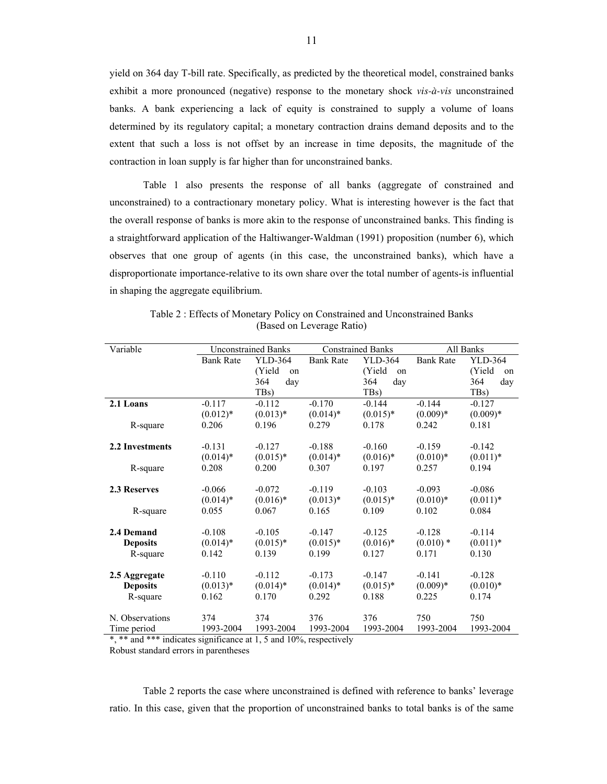yield on 364 day T-bill rate. Specifically, as predicted by the theoretical model, constrained banks exhibit a more pronounced (negative) response to the monetary shock *vis-à-vis* unconstrained banks. A bank experiencing a lack of equity is constrained to supply a volume of loans determined by its regulatory capital; a monetary contraction drains demand deposits and to the extent that such a loss is not offset by an increase in time deposits, the magnitude of the contraction in loan supply is far higher than for unconstrained banks.

Table 1 also presents the response of all banks (aggregate of constrained and unconstrained) to a contractionary monetary policy. What is interesting however is the fact that the overall response of banks is more akin to the response of unconstrained banks. This finding is a straightforward application of the Haltiwanger-Waldman (1991) proposition (number 6), which observes that one group of agents (in this case, the unconstrained banks), which have a disproportionate importance-relative to its own share over the total number of agents-is influential in shaping the aggregate equilibrium.

| Variable        | <b>Unconstrained Banks</b> |               | <b>Constrained Banks</b> |              | All Banks        |                   |
|-----------------|----------------------------|---------------|--------------------------|--------------|------------------|-------------------|
|                 | <b>Bank Rate</b>           | YLD-364       | <b>Bank Rate</b>         | YLD-364      | <b>Bank Rate</b> | YLD-364           |
|                 |                            | (Yield)<br>on |                          | (Yield<br>on |                  | (Yield)<br>on     |
|                 |                            | 364<br>dav    |                          | 364<br>day   |                  | 364<br>day        |
|                 |                            | TBs)          |                          | TBs)         |                  | TB <sub>s</sub> ) |
| 2.1 Loans       | $-0.117$                   | $-0.112$      | $-0.170$                 | $-0.144$     | $-0.144$         | $-0.127$          |
|                 | $(0.012)*$                 | $(0.013)*$    | $(0.014)$ *              | $(0.015)*$   | $(0.009)*$       | $(0.009)*$        |
| R-square        | 0.206                      | 0.196         | 0.279                    | 0.178        | 0.242            | 0.181             |
|                 |                            |               |                          |              |                  |                   |
| 2.2 Investments | $-0.131$                   | $-0.127$      | $-0.188$                 | $-0.160$     | $-0.159$         | $-0.142$          |
|                 | $(0.014)*$                 | $(0.015)*$    | $(0.014)$ *              | $(0.016)*$   | $(0.010)*$       | $(0.011)*$        |
| R-square        | 0.208                      | 0.200         | 0.307                    | 0.197        | 0.257            | 0.194             |
|                 |                            |               |                          |              |                  |                   |
| 2.3 Reserves    | $-0.066$                   | $-0.072$      | $-0.119$                 | $-0.103$     | $-0.093$         | $-0.086$          |
|                 | $(0.014)*$                 | $(0.016)*$    | $(0.013)*$               | $(0.015)*$   | $(0.010)*$       | $(0.011)*$        |
| R-square        | 0.055                      | 0.067         | 0.165                    | 0.109        | 0.102            | 0.084             |
|                 |                            |               |                          |              |                  |                   |
| 2.4 Demand      | $-0.108$                   | $-0.105$      | $-0.147$                 | $-0.125$     | $-0.128$         | $-0.114$          |
| <b>Deposits</b> | $(0.014)*$                 | $(0.015)*$    | $(0.015)*$               | $(0.016)*$   | $(0.010)*$       | $(0.011)*$        |
| R-square        | 0.142                      | 0.139         | 0.199                    | 0.127        | 0.171            | 0.130             |
|                 |                            |               |                          |              |                  |                   |
| 2.5 Aggregate   | $-0.110$                   | $-0.112$      | $-0.173$                 | $-0.147$     | $-0.141$         | $-0.128$          |
| <b>Deposits</b> | $(0.013)*$                 | $(0.014)$ *   | $(0.014)$ *              | $(0.015)*$   | $(0.009)*$       | $(0.010)*$        |
| R-square        | 0.162                      | 0.170         | 0.292                    | 0.188        | 0.225            | 0.174             |
|                 |                            |               |                          |              |                  |                   |
| N. Observations | 374                        | 374           | 376                      | 376          | 750              | 750               |
| Time period     | 1993-2004                  | 1993-2004     | 1993-2004                | 1993-2004    | 1993-2004        | 1993-2004         |

Table 2 : Effects of Monetary Policy on Constrained and Unconstrained Banks (Based on Leverage Ratio)

\*, \*\* and \*\*\* indicates significance at 1, 5 and 10%, respectively Robust standard errors in parentheses

 Table 2 reports the case where unconstrained is defined with reference to banks' leverage ratio. In this case, given that the proportion of unconstrained banks to total banks is of the same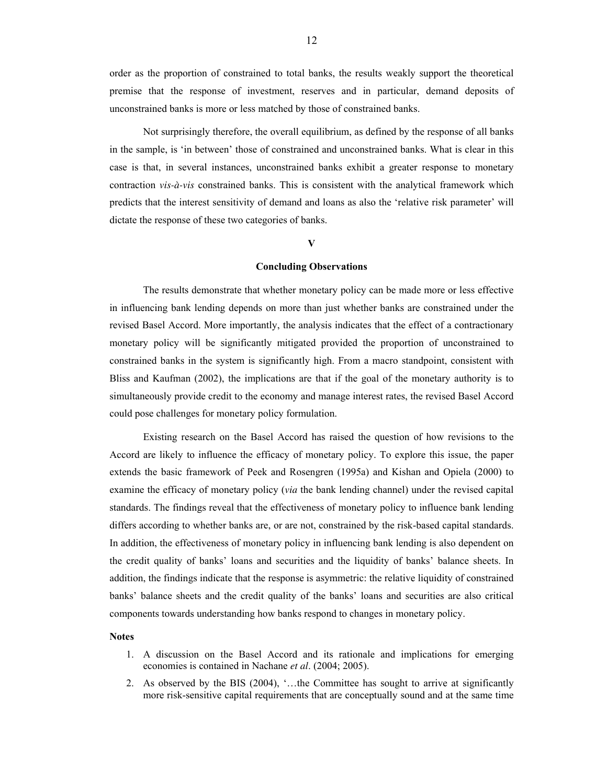order as the proportion of constrained to total banks, the results weakly support the theoretical premise that the response of investment, reserves and in particular, demand deposits of unconstrained banks is more or less matched by those of constrained banks.

 Not surprisingly therefore, the overall equilibrium, as defined by the response of all banks in the sample, is 'in between' those of constrained and unconstrained banks. What is clear in this case is that, in several instances, unconstrained banks exhibit a greater response to monetary contraction *vis-à-vis* constrained banks. This is consistent with the analytical framework which predicts that the interest sensitivity of demand and loans as also the 'relative risk parameter' will dictate the response of these two categories of banks.

#### **V**

#### **Concluding Observations**

 The results demonstrate that whether monetary policy can be made more or less effective in influencing bank lending depends on more than just whether banks are constrained under the revised Basel Accord. More importantly, the analysis indicates that the effect of a contractionary monetary policy will be significantly mitigated provided the proportion of unconstrained to constrained banks in the system is significantly high. From a macro standpoint, consistent with Bliss and Kaufman (2002), the implications are that if the goal of the monetary authority is to simultaneously provide credit to the economy and manage interest rates, the revised Basel Accord could pose challenges for monetary policy formulation.

 Existing research on the Basel Accord has raised the question of how revisions to the Accord are likely to influence the efficacy of monetary policy. To explore this issue, the paper extends the basic framework of Peek and Rosengren (1995a) and Kishan and Opiela (2000) to examine the efficacy of monetary policy (*via* the bank lending channel) under the revised capital standards. The findings reveal that the effectiveness of monetary policy to influence bank lending differs according to whether banks are, or are not, constrained by the risk-based capital standards. In addition, the effectiveness of monetary policy in influencing bank lending is also dependent on the credit quality of banks' loans and securities and the liquidity of banks' balance sheets. In addition, the findings indicate that the response is asymmetric: the relative liquidity of constrained banks' balance sheets and the credit quality of the banks' loans and securities are also critical components towards understanding how banks respond to changes in monetary policy.

#### **Notes**

- 1. A discussion on the Basel Accord and its rationale and implications for emerging economies is contained in Nachane *et al*. (2004; 2005).
- 2. As observed by the BIS (2004), '...the Committee has sought to arrive at significantly more risk-sensitive capital requirements that are conceptually sound and at the same time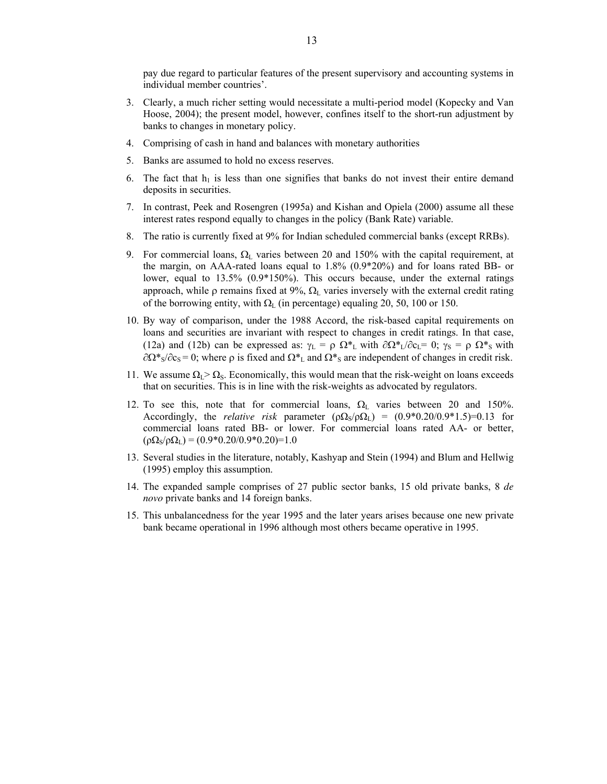pay due regard to particular features of the present supervisory and accounting systems in individual member countries'.

- 3. Clearly, a much richer setting would necessitate a multi-period model (Kopecky and Van Hoose, 2004); the present model, however, confines itself to the short-run adjustment by banks to changes in monetary policy.
- 4. Comprising of cash in hand and balances with monetary authorities
- 5. Banks are assumed to hold no excess reserves.
- 6. The fact that  $h_1$  is less than one signifies that banks do not invest their entire demand deposits in securities.
- 7. In contrast, Peek and Rosengren (1995a) and Kishan and Opiela (2000) assume all these interest rates respond equally to changes in the policy (Bank Rate) variable.
- 8. The ratio is currently fixed at 9% for Indian scheduled commercial banks (except RRBs).
- 9. For commercial loans,  $Ω$ <sub>L</sub> varies between 20 and 150% with the capital requirement, at the margin, on AAA-rated loans equal to 1.8% (0.9\*20%) and for loans rated BB- or lower, equal to 13.5% (0.9\*150%). This occurs because, under the external ratings approach, while  $\rho$  remains fixed at 9%,  $\Omega_L$  varies inversely with the external credit rating of the borrowing entity, with  $\Omega_L$  (in percentage) equaling 20, 50, 100 or 150.
- 10. By way of comparison, under the 1988 Accord, the risk-based capital requirements on loans and securities are invariant with respect to changes in credit ratings. In that case, (12a) and (12b) can be expressed as:  $\gamma_L = \rho \Omega_{\text{L}}^*$  with  $\partial \Omega_{\text{L}}^* / \partial c_L = 0$ ;  $\gamma_S = \rho \Omega_{\text{S}}^*$  with  $\partial \Omega^*$ <sub>S</sub>/ $\partial c_s$  = 0; where  $\rho$  is fixed and  $\Omega^*$ <sub>L</sub> and  $\Omega^*$ <sub>S</sub> are independent of changes in credit risk.
- 11. We assume  $\Omega_L > \Omega_s$ . Economically, this would mean that the risk-weight on loans exceeds that on securities. This is in line with the risk-weights as advocated by regulators.
- 12. To see this, note that for commercial loans,  $\Omega_L$  varies between 20 and 150%. Accordingly, the *relative risk* parameter  $(\rho \Omega_S / \rho \Omega_L) = (0.9*0.20/0.9*1.5) = 0.13$  for commercial loans rated BB- or lower. For commercial loans rated AA- or better,  $(\rho \Omega_S / \rho \Omega_L) = (0.9 \cdot 0.20 / 0.9 \cdot 0.20) = 1.0$
- 13. Several studies in the literature, notably, Kashyap and Stein (1994) and Blum and Hellwig (1995) employ this assumption.
- 14. The expanded sample comprises of 27 public sector banks, 15 old private banks, 8 *de novo* private banks and 14 foreign banks.
- 15. This unbalancedness for the year 1995 and the later years arises because one new private bank became operational in 1996 although most others became operative in 1995.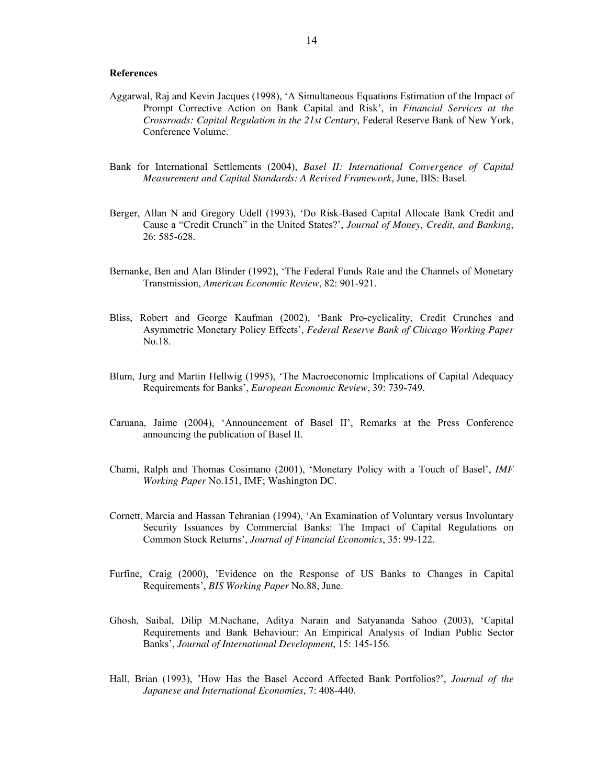#### **References**

- Aggarwal, Raj and Kevin Jacques (1998), 'A Simultaneous Equations Estimation of the Impact of Prompt Corrective Action on Bank Capital and Risk', in *Financial Services at the Crossroads: Capital Regulation in the 21st Century*, Federal Reserve Bank of New York, Conference Volume.
- Bank for International Settlements (2004), *Basel II: International Convergence of Capital Measurement and Capital Standards: A Revised Framework*, June, BIS: Basel.
- Berger, Allan N and Gregory Udell (1993), 'Do Risk-Based Capital Allocate Bank Credit and Cause a "Credit Crunch" in the United States?', *Journal of Money, Credit, and Banking*, 26: 585-628.
- Bernanke, Ben and Alan Blinder (1992), 'The Federal Funds Rate and the Channels of Monetary Transmission, *American Economic Review*, 82: 901-921.
- Bliss, Robert and George Kaufman (2002), 'Bank Pro-cyclicality, Credit Crunches and Asymmetric Monetary Policy Effects', *Federal Reserve Bank of Chicago Working Paper*  No.18.
- Blum, Jurg and Martin Hellwig (1995), 'The Macroeconomic Implications of Capital Adequacy Requirements for Banks', *European Economic Review*, 39: 739-749.
- Caruana, Jaime (2004), 'Announcement of Basel II', Remarks at the Press Conference announcing the publication of Basel II.
- Chami, Ralph and Thomas Cosimano (2001), 'Monetary Policy with a Touch of Basel', *IMF Working Paper* No.151, IMF; Washington DC.
- Cornett, Marcia and Hassan Tehranian (1994), 'An Examination of Voluntary versus Involuntary Security Issuances by Commercial Banks: The Impact of Capital Regulations on Common Stock Returns', *Journal of Financial Economics*, 35: 99-122.
- Furfine, Craig (2000), 'Evidence on the Response of US Banks to Changes in Capital Requirements', *BIS Working Paper* No.88, June.
- Ghosh, Saibal, Dilip M.Nachane, Aditya Narain and Satyananda Sahoo (2003), 'Capital Requirements and Bank Behaviour: An Empirical Analysis of Indian Public Sector Banks', *Journal of International Development*, 15: 145-156*.*
- Hall, Brian (1993), 'How Has the Basel Accord Affected Bank Portfolios?', *Journal of the Japanese and International Economies*, 7: 408-440.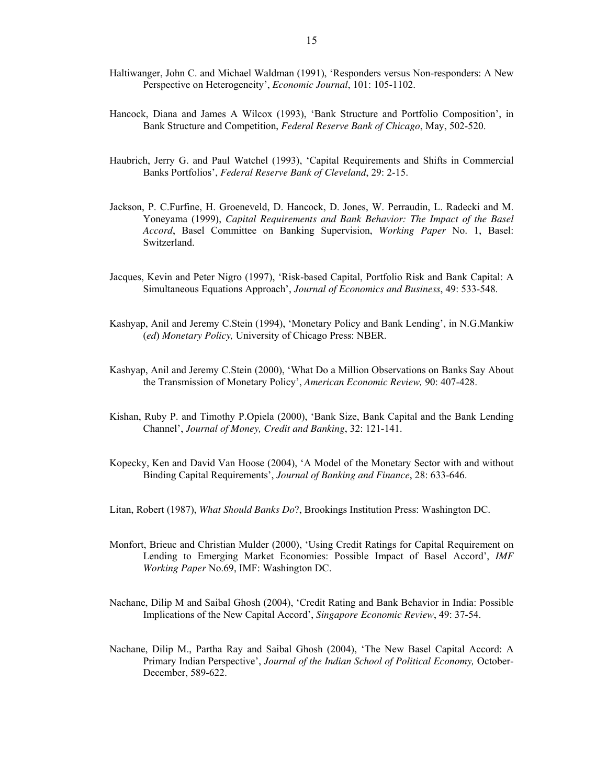- Haltiwanger, John C. and Michael Waldman (1991), 'Responders versus Non-responders: A New Perspective on Heterogeneity', *Economic Journal*, 101: 105-1102.
- Hancock, Diana and James A Wilcox (1993), 'Bank Structure and Portfolio Composition', in Bank Structure and Competition, *Federal Reserve Bank of Chicago*, May, 502-520.
- Haubrich, Jerry G. and Paul Watchel (1993), 'Capital Requirements and Shifts in Commercial Banks Portfolios', *Federal Reserve Bank of Cleveland*, 29: 2-15.
- Jackson, P. C.Furfine, H. Groeneveld, D. Hancock, D. Jones, W. Perraudin, L. Radecki and M. Yoneyama (1999), *Capital Requirements and Bank Behavior: The Impact of the Basel Accord*, Basel Committee on Banking Supervision, *Working Paper* No. 1, Basel: Switzerland.
- Jacques, Kevin and Peter Nigro (1997), 'Risk-based Capital, Portfolio Risk and Bank Capital: A Simultaneous Equations Approach', *Journal of Economics and Business*, 49: 533-548.
- Kashyap, Anil and Jeremy C.Stein (1994), 'Monetary Policy and Bank Lending', in N.G.Mankiw (*ed*) *Monetary Policy,* University of Chicago Press: NBER.
- Kashyap, Anil and Jeremy C.Stein (2000), 'What Do a Million Observations on Banks Say About the Transmission of Monetary Policy', *American Economic Review,* 90: 407-428.
- Kishan, Ruby P. and Timothy P.Opiela (2000), 'Bank Size, Bank Capital and the Bank Lending Channel', *Journal of Money, Credit and Banking*, 32: 121-141.
- Kopecky, Ken and David Van Hoose (2004), 'A Model of the Monetary Sector with and without Binding Capital Requirements', *Journal of Banking and Finance*, 28: 633-646.
- Litan, Robert (1987), *What Should Banks Do*?, Brookings Institution Press: Washington DC.
- Monfort, Brieuc and Christian Mulder (2000), 'Using Credit Ratings for Capital Requirement on Lending to Emerging Market Economies: Possible Impact of Basel Accord', *IMF Working Paper* No.69, IMF: Washington DC.
- Nachane, Dilip M and Saibal Ghosh (2004), 'Credit Rating and Bank Behavior in India: Possible Implications of the New Capital Accord', *Singapore Economic Review*, 49: 37-54.
- Nachane, Dilip M., Partha Ray and Saibal Ghosh (2004), 'The New Basel Capital Accord: A Primary Indian Perspective', *Journal of the Indian School of Political Economy,* October-December, 589-622.